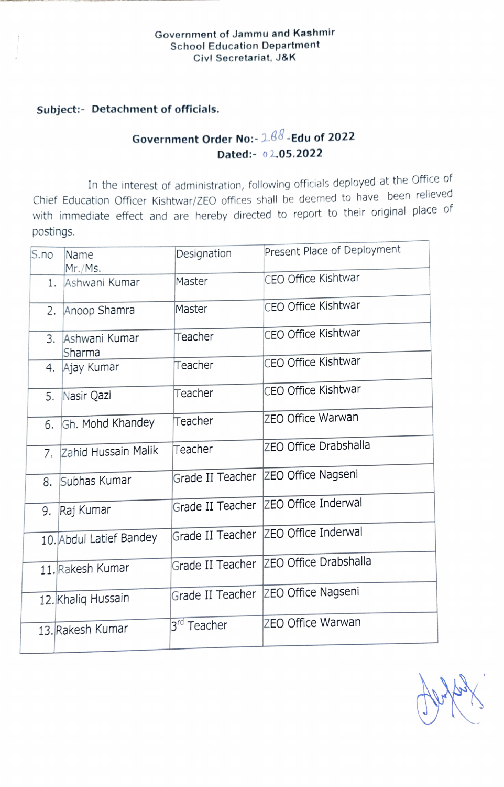## Government of Jammu and Kashmir School Education Department Civl Secretariat, J&K

## Subject:- Detachment of officials.

## Government Order No:-2.88-Edu of 2022 Dated:- 02.05.2022

In the interest of administration, following officials deployed at the Office of Chief Education Officer Kishtwar/ZEO offices shall be deemed to have been relieved with immediate effect and are hereby directed to report to their original place of postings.

| S.no | Name                     | Designation             | Present Place of Deployment |
|------|--------------------------|-------------------------|-----------------------------|
| 1.   | Mr./Ms.<br>Ashwani Kumar | Master                  | CEO Office Kishtwar         |
|      | 2. Anoop Shamra          | Master                  | CEO Office Kishtwar         |
|      | 3. Ashwani Kumar         | Teacher                 | CEO Office Kishtwar         |
| 4.   | Sharma<br>Ajay Kumar     | Teacher                 | CEO Office Kishtwar         |
| 5.   | Nasir Qazi               | Teacher                 | CEO Office Kishtwar         |
| 6.   | Gh. Mohd Khandey         | Teacher                 | ZEO Office Warwan           |
| 7.   | Zahid Hussain Malik      | Teacher                 | ZEO Office Drabshalla       |
| 8.   | Subhas Kumar             | Grade II Teacher        | ZEO Office Nagseni          |
| 9.   | Raj Kumar                | Grade II Teacher        | ZEO Office Inderwal         |
|      | 10. Abdul Latief Bandey  | Grade II Teacher        | ZEO Office Inderwal         |
|      | 11. Rakesh Kumar         | Grade II Teacher        | ZEO Office Drabshalla       |
|      | 12. Khaliq Hussain       | Grade II Teacher        | ZEO Office Nagseni          |
|      | 13. Rakesh Kumar         | 3 <sup>rd</sup> Teacher | <b>ZEO Office Warwan</b>    |
|      |                          |                         |                             |